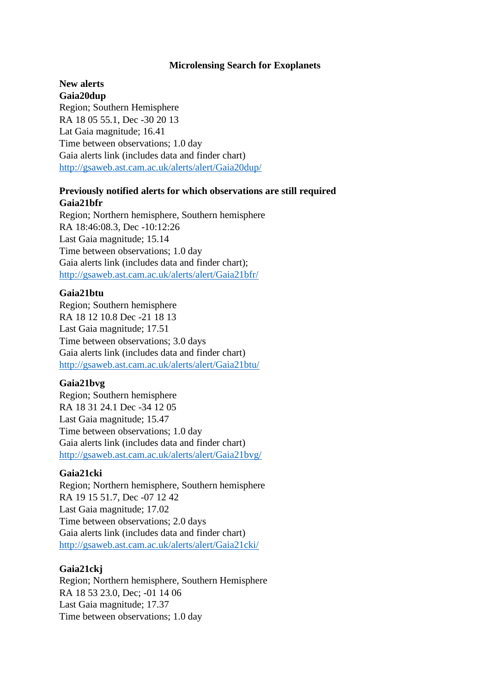#### **Microlensing Search for Exoplanets**

#### **New alerts Gaia20dup**

Region; Southern Hemisphere RA 18 05 55.1, Dec -30 20 13 Lat Gaia magnitude; 16.41 Time between observations; 1.0 day Gaia alerts link (includes data and finder chart) <http://gsaweb.ast.cam.ac.uk/alerts/alert/Gaia20dup/>

# **Previously notified alerts for which observations are still required Gaia21bfr**

Region; Northern hemisphere, Southern hemisphere RA 18:46:08.3, Dec -10:12:26 Last Gaia magnitude; 15.14 Time between observations; 1.0 day Gaia alerts link (includes data and finder chart); <http://gsaweb.ast.cam.ac.uk/alerts/alert/Gaia21bfr/>

## **Gaia21btu**

Region; Southern hemisphere RA 18 12 10.8 Dec -21 18 13 Last Gaia magnitude; 17.51 Time between observations; 3.0 days Gaia alerts link (includes data and finder chart) <http://gsaweb.ast.cam.ac.uk/alerts/alert/Gaia21btu/>

# **Gaia21bvg**

Region; Southern hemisphere RA 18 31 24.1 Dec -34 12 05 Last Gaia magnitude; 15.47 Time between observations; 1.0 day Gaia alerts link (includes data and finder chart) <http://gsaweb.ast.cam.ac.uk/alerts/alert/Gaia21bvg/>

#### **Gaia21cki**

Region; Northern hemisphere, Southern hemisphere RA 19 15 51.7, Dec -07 12 42 Last Gaia magnitude; 17.02 Time between observations; 2.0 days Gaia alerts link (includes data and finder chart) <http://gsaweb.ast.cam.ac.uk/alerts/alert/Gaia21cki/>

## **Gaia21ckj**

Region; Northern hemisphere, Southern Hemisphere RA 18 53 23.0, Dec; -01 14 06 Last Gaia magnitude; 17.37 Time between observations; 1.0 day